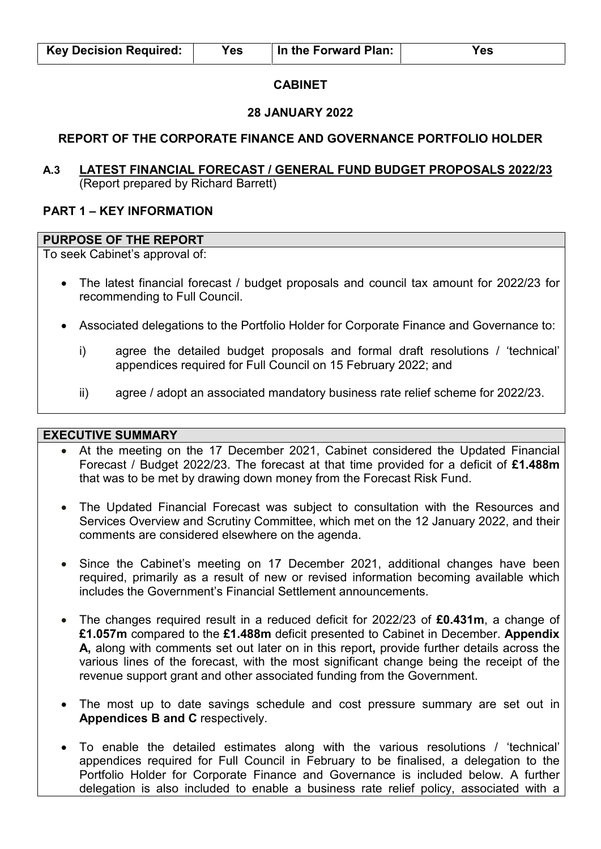### **CABINET**

#### **28 JANUARY 2022**

### **REPORT OF THE CORPORATE FINANCE AND GOVERNANCE PORTFOLIO HOLDER**

## **A.3 LATEST FINANCIAL FORECAST / GENERAL FUND BUDGET PROPOSALS 2022/23**  (Report prepared by Richard Barrett)

#### **PART 1 – KEY INFORMATION**

### **PURPOSE OF THE REPORT**

To seek Cabinet's approval of:

- The latest financial forecast / budget proposals and council tax amount for 2022/23 for recommending to Full Council.
- Associated delegations to the Portfolio Holder for Corporate Finance and Governance to:
	- i) agree the detailed budget proposals and formal draft resolutions / 'technical' appendices required for Full Council on 15 February 2022; and
	- ii) agree / adopt an associated mandatory business rate relief scheme for 2022/23.

#### **EXECUTIVE SUMMARY**

- At the meeting on the 17 December 2021, Cabinet considered the Updated Financial Forecast / Budget 2022/23. The forecast at that time provided for a deficit of **£1.488m** that was to be met by drawing down money from the Forecast Risk Fund.
- The Updated Financial Forecast was subject to consultation with the Resources and Services Overview and Scrutiny Committee, which met on the 12 January 2022, and their comments are considered elsewhere on the agenda.
- Since the Cabinet's meeting on 17 December 2021, additional changes have been required, primarily as a result of new or revised information becoming available which includes the Government's Financial Settlement announcements.
- The changes required result in a reduced deficit for 2022/23 of **£0.431m**, a change of **£1.057m** compared to the **£1.488m** deficit presented to Cabinet in December. **Appendix A,** along with comments set out later on in this report**,** provide further details across the various lines of the forecast, with the most significant change being the receipt of the revenue support grant and other associated funding from the Government.
- The most up to date savings schedule and cost pressure summary are set out in **Appendices B and C** respectively.
- To enable the detailed estimates along with the various resolutions / 'technical' appendices required for Full Council in February to be finalised, a delegation to the Portfolio Holder for Corporate Finance and Governance is included below. A further delegation is also included to enable a business rate relief policy, associated with a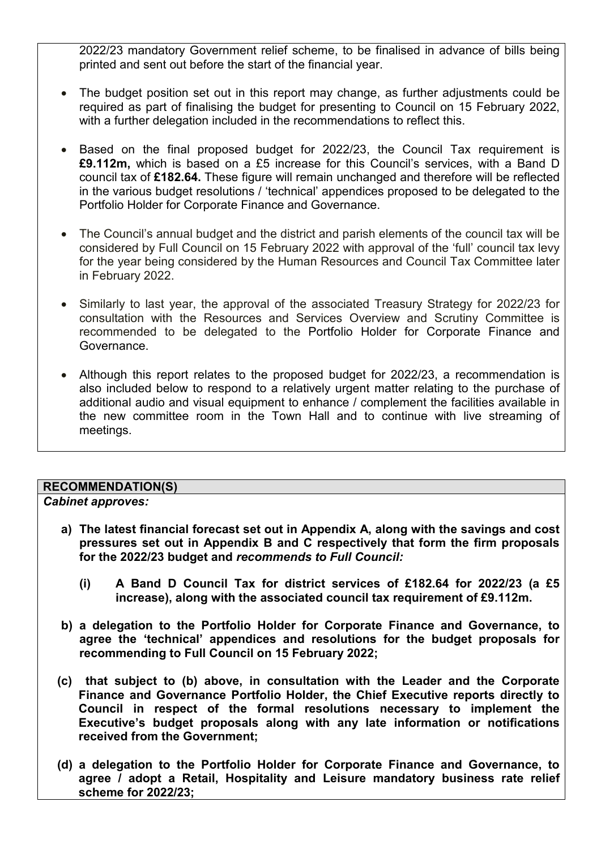2022/23 mandatory Government relief scheme, to be finalised in advance of bills being printed and sent out before the start of the financial year.

- The budget position set out in this report may change, as further adjustments could be required as part of finalising the budget for presenting to Council on 15 February 2022, with a further delegation included in the recommendations to reflect this.
- Based on the final proposed budget for 2022/23, the Council Tax requirement is **£9.112m,** which is based on a £5 increase for this Council's services, with a Band D council tax of **£182.64.** These figure will remain unchanged and therefore will be reflected in the various budget resolutions / 'technical' appendices proposed to be delegated to the Portfolio Holder for Corporate Finance and Governance.
- The Council's annual budget and the district and parish elements of the council tax will be considered by Full Council on 15 February 2022 with approval of the 'full' council tax levy for the year being considered by the Human Resources and Council Tax Committee later in February 2022.
- Similarly to last year, the approval of the associated Treasury Strategy for 2022/23 for consultation with the Resources and Services Overview and Scrutiny Committee is recommended to be delegated to the Portfolio Holder for Corporate Finance and Governance.
- Although this report relates to the proposed budget for 2022/23, a recommendation is also included below to respond to a relatively urgent matter relating to the purchase of additional audio and visual equipment to enhance / complement the facilities available in the new committee room in the Town Hall and to continue with live streaming of meetings.

# **RECOMMENDATION(S)**

### *Cabinet approves:*

- **a) The latest financial forecast set out in Appendix A, along with the savings and cost pressures set out in Appendix B and C respectively that form the firm proposals for the 2022/23 budget and** *recommends to Full Council:* 
	- **(i) A Band D Council Tax for district services of £182.64 for 2022/23 (a £5 increase), along with the associated council tax requirement of £9.112m.**
- **b) a delegation to the Portfolio Holder for Corporate Finance and Governance, to agree the 'technical' appendices and resolutions for the budget proposals for recommending to Full Council on 15 February 2022;**
- **(c) that subject to (b) above, in consultation with the Leader and the Corporate Finance and Governance Portfolio Holder, the Chief Executive reports directly to Council in respect of the formal resolutions necessary to implement the Executive's budget proposals along with any late information or notifications received from the Government;**
- **(d) a delegation to the Portfolio Holder for Corporate Finance and Governance, to agree / adopt a Retail, Hospitality and Leisure mandatory business rate relief scheme for 2022/23;**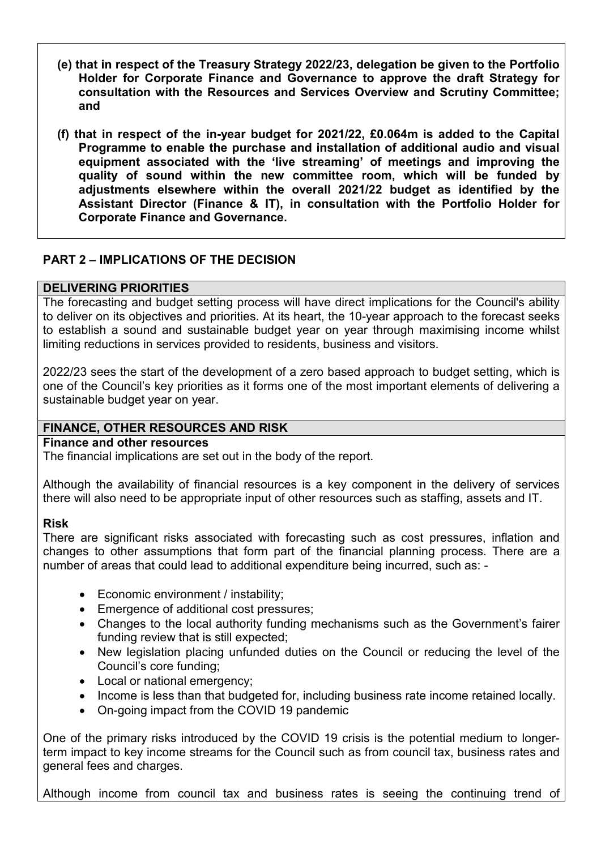- **(e) that in respect of the Treasury Strategy 2022/23, delegation be given to the Portfolio Holder for Corporate Finance and Governance to approve the draft Strategy for consultation with the Resources and Services Overview and Scrutiny Committee; and**
- **(f) that in respect of the in-year budget for 2021/22, £0.064m is added to the Capital Programme to enable the purchase and installation of additional audio and visual equipment associated with the 'live streaming' of meetings and improving the quality of sound within the new committee room, which will be funded by adjustments elsewhere within the overall 2021/22 budget as identified by the Assistant Director (Finance & IT), in consultation with the Portfolio Holder for Corporate Finance and Governance.**

# **PART 2 – IMPLICATIONS OF THE DECISION**

### **DELIVERING PRIORITIES**

The forecasting and budget setting process will have direct implications for the Council's ability to deliver on its objectives and priorities. At its heart, the 10-year approach to the forecast seeks to establish a sound and sustainable budget year on year through maximising income whilst limiting reductions in services provided to residents, business and visitors.

2022/23 sees the start of the development of a zero based approach to budget setting, which is one of the Council's key priorities as it forms one of the most important elements of delivering a sustainable budget year on year.

# **FINANCE, OTHER RESOURCES AND RISK**

**Finance and other resources** 

The financial implications are set out in the body of the report.

Although the availability of financial resources is a key component in the delivery of services there will also need to be appropriate input of other resources such as staffing, assets and IT.

### **Risk**

There are significant risks associated with forecasting such as cost pressures, inflation and changes to other assumptions that form part of the financial planning process. There are a number of areas that could lead to additional expenditure being incurred, such as: -

- Economic environment / instability:
- Emergence of additional cost pressures;
- Changes to the local authority funding mechanisms such as the Government's fairer funding review that is still expected;
- New legislation placing unfunded duties on the Council or reducing the level of the Council's core funding;
- Local or national emergency;
- Income is less than that budgeted for, including business rate income retained locally.
- On-going impact from the COVID 19 pandemic

One of the primary risks introduced by the COVID 19 crisis is the potential medium to longerterm impact to key income streams for the Council such as from council tax, business rates and general fees and charges.

Although income from council tax and business rates is seeing the continuing trend of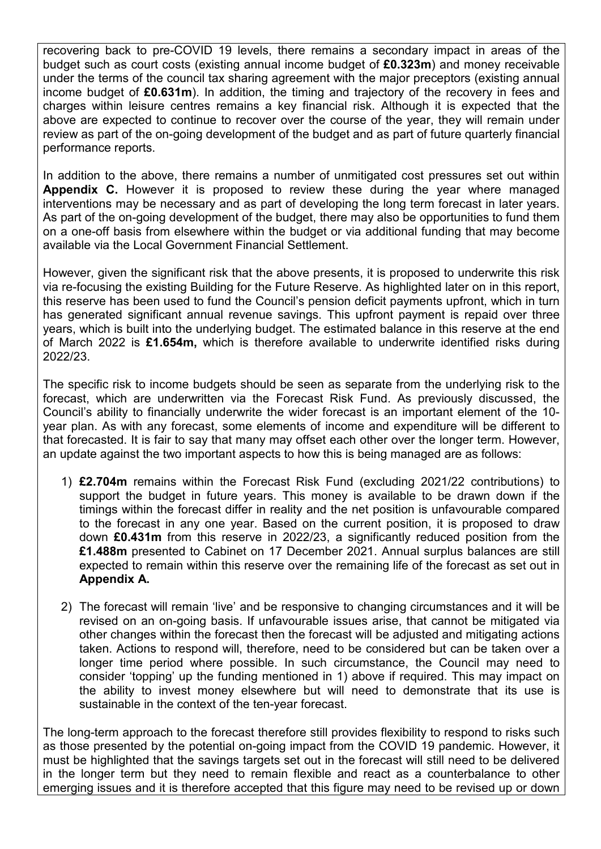recovering back to pre-COVID 19 levels, there remains a secondary impact in areas of the budget such as court costs (existing annual income budget of **£0.323m**) and money receivable under the terms of the council tax sharing agreement with the major preceptors (existing annual income budget of **£0.631m**). In addition, the timing and trajectory of the recovery in fees and charges within leisure centres remains a key financial risk. Although it is expected that the above are expected to continue to recover over the course of the year, they will remain under review as part of the on-going development of the budget and as part of future quarterly financial performance reports.

In addition to the above, there remains a number of unmitigated cost pressures set out within **Appendix C.** However it is proposed to review these during the year where managed interventions may be necessary and as part of developing the long term forecast in later years. As part of the on-going development of the budget, there may also be opportunities to fund them on a one-off basis from elsewhere within the budget or via additional funding that may become available via the Local Government Financial Settlement.

However, given the significant risk that the above presents, it is proposed to underwrite this risk via re-focusing the existing Building for the Future Reserve. As highlighted later on in this report, this reserve has been used to fund the Council's pension deficit payments upfront, which in turn has generated significant annual revenue savings. This upfront payment is repaid over three years, which is built into the underlying budget. The estimated balance in this reserve at the end of March 2022 is **£1.654m,** which is therefore available to underwrite identified risks during 2022/23.

The specific risk to income budgets should be seen as separate from the underlying risk to the forecast, which are underwritten via the Forecast Risk Fund. As previously discussed, the Council's ability to financially underwrite the wider forecast is an important element of the 10 year plan. As with any forecast, some elements of income and expenditure will be different to that forecasted. It is fair to say that many may offset each other over the longer term. However, an update against the two important aspects to how this is being managed are as follows:

- 1) **£2.704m** remains within the Forecast Risk Fund (excluding 2021/22 contributions) to support the budget in future years. This money is available to be drawn down if the timings within the forecast differ in reality and the net position is unfavourable compared to the forecast in any one year. Based on the current position, it is proposed to draw down **£0.431m** from this reserve in 2022/23, a significantly reduced position from the **£1.488m** presented to Cabinet on 17 December 2021. Annual surplus balances are still expected to remain within this reserve over the remaining life of the forecast as set out in **Appendix A.**
- 2) The forecast will remain 'live' and be responsive to changing circumstances and it will be revised on an on-going basis. If unfavourable issues arise, that cannot be mitigated via other changes within the forecast then the forecast will be adjusted and mitigating actions taken. Actions to respond will, therefore, need to be considered but can be taken over a longer time period where possible. In such circumstance, the Council may need to consider 'topping' up the funding mentioned in 1) above if required. This may impact on the ability to invest money elsewhere but will need to demonstrate that its use is sustainable in the context of the ten-year forecast.

The long-term approach to the forecast therefore still provides flexibility to respond to risks such as those presented by the potential on-going impact from the COVID 19 pandemic. However, it must be highlighted that the savings targets set out in the forecast will still need to be delivered in the longer term but they need to remain flexible and react as a counterbalance to other emerging issues and it is therefore accepted that this figure may need to be revised up or down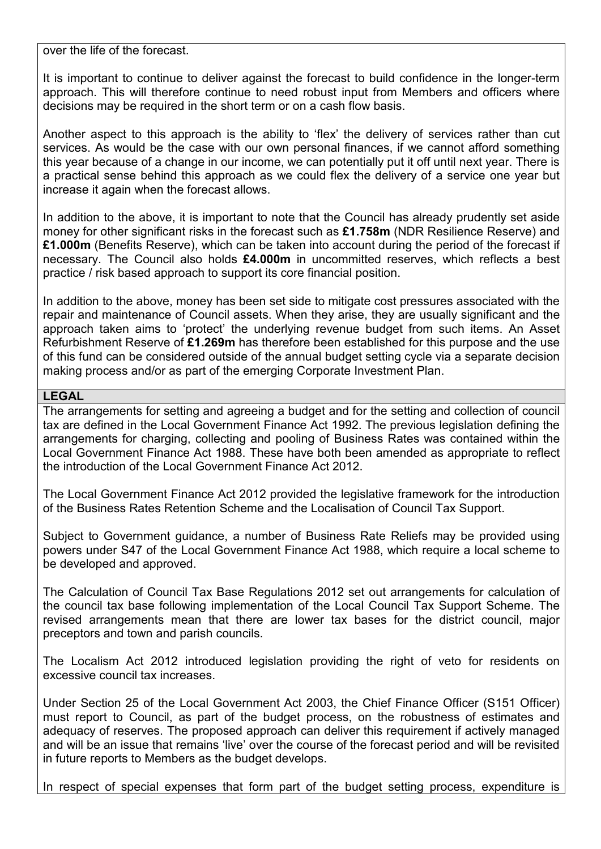over the life of the forecast.

It is important to continue to deliver against the forecast to build confidence in the longer-term approach. This will therefore continue to need robust input from Members and officers where decisions may be required in the short term or on a cash flow basis.

Another aspect to this approach is the ability to 'flex' the delivery of services rather than cut services. As would be the case with our own personal finances, if we cannot afford something this year because of a change in our income, we can potentially put it off until next year. There is a practical sense behind this approach as we could flex the delivery of a service one year but increase it again when the forecast allows.

In addition to the above, it is important to note that the Council has already prudently set aside money for other significant risks in the forecast such as **£1.758m** (NDR Resilience Reserve) and **£1.000m** (Benefits Reserve), which can be taken into account during the period of the forecast if necessary. The Council also holds **£4.000m** in uncommitted reserves, which reflects a best practice / risk based approach to support its core financial position.

In addition to the above, money has been set side to mitigate cost pressures associated with the repair and maintenance of Council assets. When they arise, they are usually significant and the approach taken aims to 'protect' the underlying revenue budget from such items. An Asset Refurbishment Reserve of **£1.269m** has therefore been established for this purpose and the use of this fund can be considered outside of the annual budget setting cycle via a separate decision making process and/or as part of the emerging Corporate Investment Plan.

## **LEGAL**

The arrangements for setting and agreeing a budget and for the setting and collection of council tax are defined in the Local Government Finance Act 1992. The previous legislation defining the arrangements for charging, collecting and pooling of Business Rates was contained within the Local Government Finance Act 1988. These have both been amended as appropriate to reflect the introduction of the Local Government Finance Act 2012.

The Local Government Finance Act 2012 provided the legislative framework for the introduction of the Business Rates Retention Scheme and the Localisation of Council Tax Support.

Subject to Government guidance, a number of Business Rate Reliefs may be provided using powers under S47 of the Local Government Finance Act 1988, which require a local scheme to be developed and approved.

The Calculation of Council Tax Base Regulations 2012 set out arrangements for calculation of the council tax base following implementation of the Local Council Tax Support Scheme. The revised arrangements mean that there are lower tax bases for the district council, major preceptors and town and parish councils.

The Localism Act 2012 introduced legislation providing the right of veto for residents on excessive council tax increases.

Under Section 25 of the Local Government Act 2003, the Chief Finance Officer (S151 Officer) must report to Council, as part of the budget process, on the robustness of estimates and adequacy of reserves. The proposed approach can deliver this requirement if actively managed and will be an issue that remains 'live' over the course of the forecast period and will be revisited in future reports to Members as the budget develops.

In respect of special expenses that form part of the budget setting process, expenditure is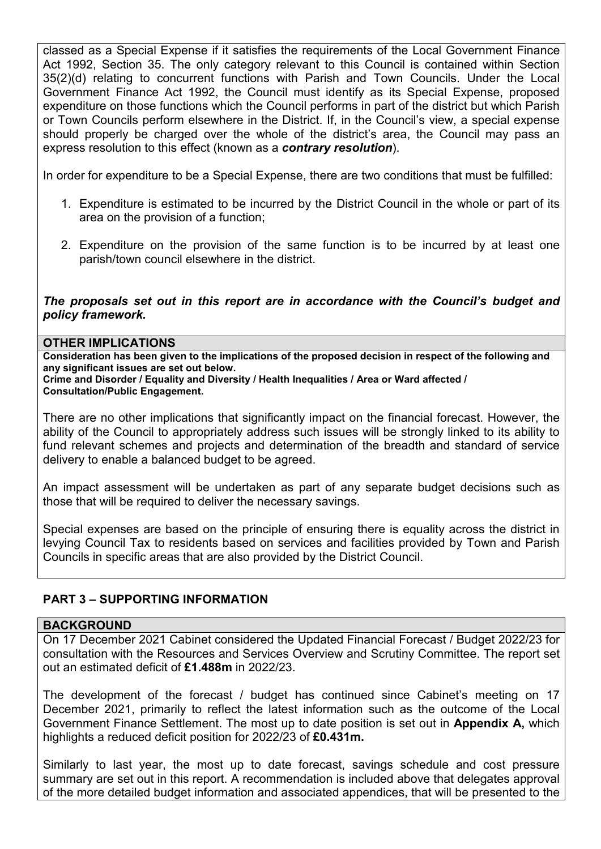classed as a Special Expense if it satisfies the requirements of the Local Government Finance Act 1992, Section 35. The only category relevant to this Council is contained within Section 35(2)(d) relating to concurrent functions with Parish and Town Councils. Under the Local Government Finance Act 1992, the Council must identify as its Special Expense, proposed expenditure on those functions which the Council performs in part of the district but which Parish or Town Councils perform elsewhere in the District. If, in the Council's view, a special expense should properly be charged over the whole of the district's area, the Council may pass an express resolution to this effect (known as a *contrary resolution*).

In order for expenditure to be a Special Expense, there are two conditions that must be fulfilled:

- 1. Expenditure is estimated to be incurred by the District Council in the whole or part of its area on the provision of a function;
- 2. Expenditure on the provision of the same function is to be incurred by at least one parish/town council elsewhere in the district.

*The proposals set out in this report are in accordance with the Council's budget and policy framework.* 

#### **OTHER IMPLICATIONS**

**Consideration has been given to the implications of the proposed decision in respect of the following and any significant issues are set out below.** 

**Crime and Disorder / Equality and Diversity / Health Inequalities / Area or Ward affected / Consultation/Public Engagement.** 

There are no other implications that significantly impact on the financial forecast. However, the ability of the Council to appropriately address such issues will be strongly linked to its ability to fund relevant schemes and projects and determination of the breadth and standard of service delivery to enable a balanced budget to be agreed.

An impact assessment will be undertaken as part of any separate budget decisions such as those that will be required to deliver the necessary savings.

Special expenses are based on the principle of ensuring there is equality across the district in levying Council Tax to residents based on services and facilities provided by Town and Parish Councils in specific areas that are also provided by the District Council.

# **PART 3 – SUPPORTING INFORMATION**

#### **BACKGROUND**

On 17 December 2021 Cabinet considered the Updated Financial Forecast / Budget 2022/23 for consultation with the Resources and Services Overview and Scrutiny Committee. The report set out an estimated deficit of **£1.488m** in 2022/23.

The development of the forecast / budget has continued since Cabinet's meeting on 17 December 2021, primarily to reflect the latest information such as the outcome of the Local Government Finance Settlement. The most up to date position is set out in **Appendix A,** which highlights a reduced deficit position for 2022/23 of **£0.431m.**

Similarly to last year, the most up to date forecast, savings schedule and cost pressure summary are set out in this report. A recommendation is included above that delegates approval of the more detailed budget information and associated appendices, that will be presented to the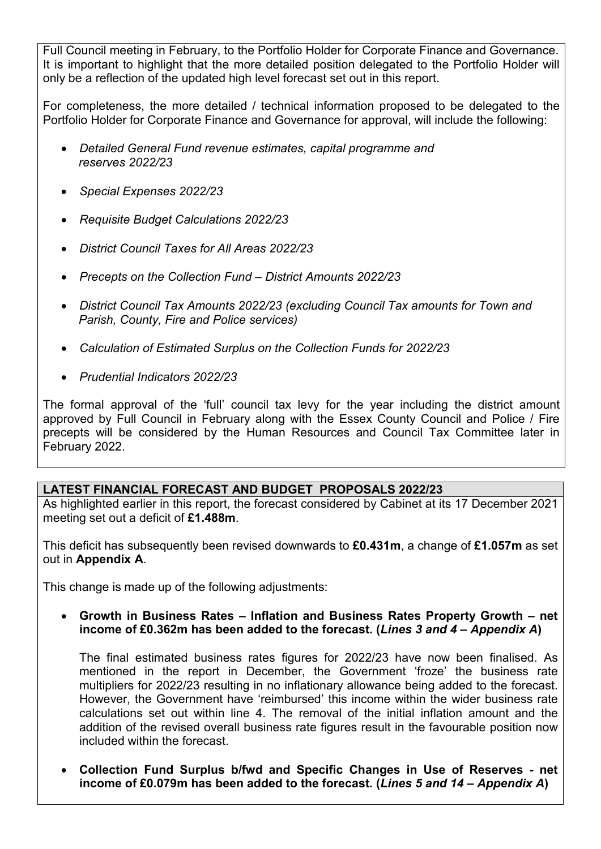Full Council meeting in February, to the Portfolio Holder for Corporate Finance and Governance. It is important to highlight that the more detailed position delegated to the Portfolio Holder will only be a reflection of the updated high level forecast set out in this report.

For completeness, the more detailed / technical information proposed to be delegated to the Portfolio Holder for Corporate Finance and Governance for approval, will include the following:

- *Detailed General Fund revenue estimates, capital programme and reserves 2022/23*
- *Special Expenses 2022/23*
- *Requisite Budget Calculations 2022/23*
- *District Council Taxes for All Areas 2022/23*
- *Precepts on the Collection Fund District Amounts 2022/23*
- *District Council Tax Amounts 2022/23 (excluding Council Tax amounts for Town and Parish, County, Fire and Police services)*
- *Calculation of Estimated Surplus on the Collection Funds for 2022/23*
- *Prudential Indicators 2022/23*

The formal approval of the 'full' council tax levy for the year including the district amount approved by Full Council in February along with the Essex County Council and Police / Fire precepts will be considered by the Human Resources and Council Tax Committee later in February 2022.

# **LATEST FINANCIAL FORECAST AND BUDGET PROPOSALS 2022/23**

As highlighted earlier in this report, the forecast considered by Cabinet at its 17 December 2021 meeting set out a deficit of **£1.488m**.

This deficit has subsequently been revised downwards to **£0.431m**, a change of **£1.057m** as set out in **Appendix A**.

This change is made up of the following adjustments:

 **Growth in Business Rates – Inflation and Business Rates Property Growth – net income of £0.362m has been added to the forecast. (***Lines 3 and 4 – Appendix A***)** 

The final estimated business rates figures for 2022/23 have now been finalised. As mentioned in the report in December, the Government 'froze' the business rate multipliers for 2022/23 resulting in no inflationary allowance being added to the forecast. However, the Government have 'reimbursed' this income within the wider business rate calculations set out within line 4. The removal of the initial inflation amount and the addition of the revised overall business rate figures result in the favourable position now included within the forecast.

 **Collection Fund Surplus b/fwd and Specific Changes in Use of Reserves - net income of £0.079m has been added to the forecast. (***Lines 5 and 14 – Appendix A***)**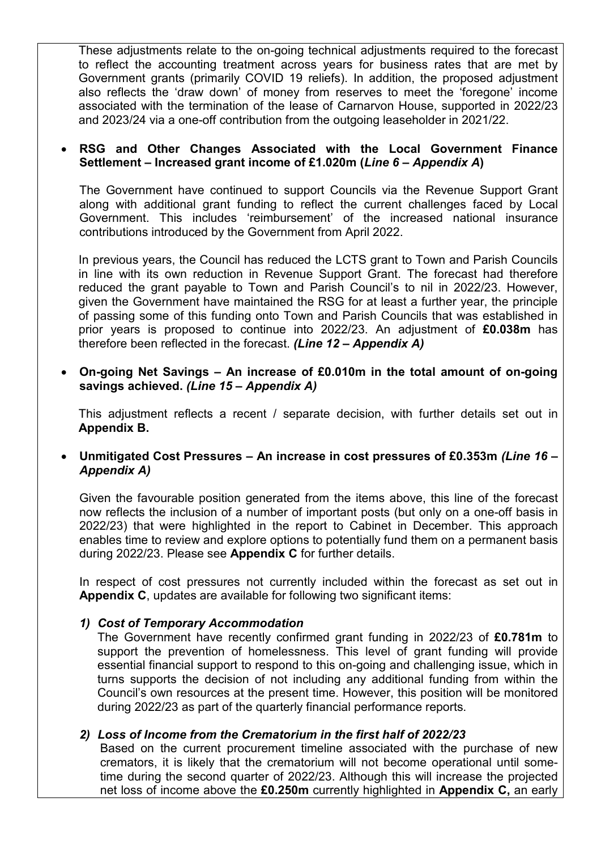These adjustments relate to the on-going technical adjustments required to the forecast to reflect the accounting treatment across years for business rates that are met by Government grants (primarily COVID 19 reliefs). In addition, the proposed adjustment also reflects the 'draw down' of money from reserves to meet the 'foregone' income associated with the termination of the lease of Carnarvon House, supported in 2022/23 and 2023/24 via a one-off contribution from the outgoing leaseholder in 2021/22.

### **RSG and Other Changes Associated with the Local Government Finance Settlement – Increased grant income of £1.020m (***Line 6 – Appendix A***)**

The Government have continued to support Councils via the Revenue Support Grant along with additional grant funding to reflect the current challenges faced by Local Government. This includes 'reimbursement' of the increased national insurance contributions introduced by the Government from April 2022.

In previous years, the Council has reduced the LCTS grant to Town and Parish Councils in line with its own reduction in Revenue Support Grant. The forecast had therefore reduced the grant payable to Town and Parish Council's to nil in 2022/23. However, given the Government have maintained the RSG for at least a further year, the principle of passing some of this funding onto Town and Parish Councils that was established in prior years is proposed to continue into 2022/23. An adjustment of **£0.038m** has therefore been reflected in the forecast. *(Line 12 – Appendix A)*

 **On-going Net Savings – An increase of £0.010m in the total amount of on-going savings achieved.** *(Line 15 – Appendix A)*

This adjustment reflects a recent / separate decision, with further details set out in **Appendix B.**

## **Unmitigated Cost Pressures – An increase in cost pressures of £0.353m** *(Line 16 – Appendix A)*

Given the favourable position generated from the items above, this line of the forecast now reflects the inclusion of a number of important posts (but only on a one-off basis in 2022/23) that were highlighted in the report to Cabinet in December. This approach enables time to review and explore options to potentially fund them on a permanent basis during 2022/23. Please see **Appendix C** for further details.

In respect of cost pressures not currently included within the forecast as set out in **Appendix C**, updates are available for following two significant items:

### *1) Cost of Temporary Accommodation*

The Government have recently confirmed grant funding in 2022/23 of **£0.781m** to support the prevention of homelessness. This level of grant funding will provide essential financial support to respond to this on-going and challenging issue, which in turns supports the decision of not including any additional funding from within the Council's own resources at the present time. However, this position will be monitored during 2022/23 as part of the quarterly financial performance reports.

# *2) Loss of Income from the Crematorium in the first half of 2022/23*

Based on the current procurement timeline associated with the purchase of new cremators, it is likely that the crematorium will not become operational until sometime during the second quarter of 2022/23. Although this will increase the projected net loss of income above the **£0.250m** currently highlighted in **Appendix C,** an early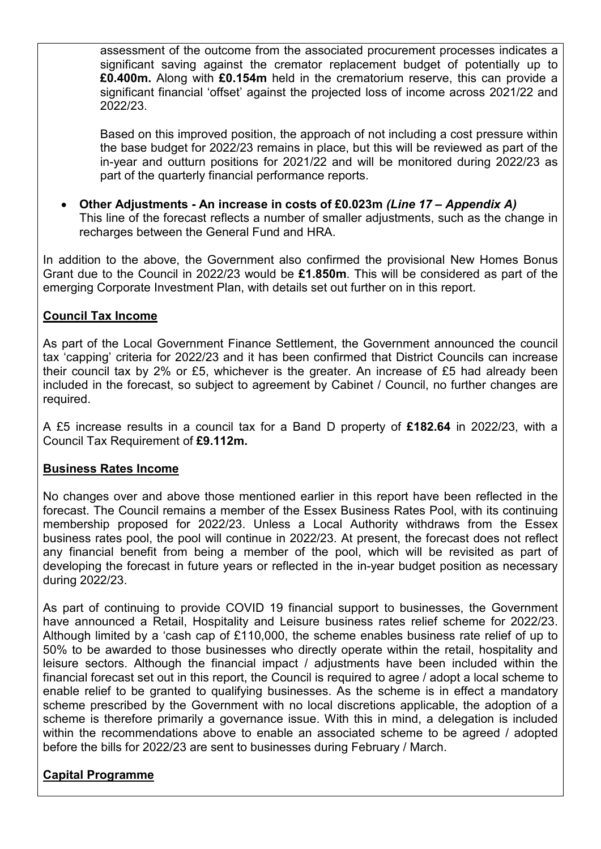assessment of the outcome from the associated procurement processes indicates a significant saving against the cremator replacement budget of potentially up to **£0.400m.** Along with **£0.154m** held in the crematorium reserve, this can provide a significant financial 'offset' against the projected loss of income across 2021/22 and 2022/23.

Based on this improved position, the approach of not including a cost pressure within the base budget for 2022/23 remains in place, but this will be reviewed as part of the in-year and outturn positions for 2021/22 and will be monitored during 2022/23 as part of the quarterly financial performance reports.

 **Other Adjustments - An increase in costs of £0.023m** *(Line 17 – Appendix A)* This line of the forecast reflects a number of smaller adjustments, such as the change in recharges between the General Fund and HRA.

In addition to the above, the Government also confirmed the provisional New Homes Bonus Grant due to the Council in 2022/23 would be **£1.850m**. This will be considered as part of the emerging Corporate Investment Plan, with details set out further on in this report.

# **Council Tax Income**

As part of the Local Government Finance Settlement, the Government announced the council tax 'capping' criteria for 2022/23 and it has been confirmed that District Councils can increase their council tax by 2% or £5, whichever is the greater. An increase of £5 had already been included in the forecast, so subject to agreement by Cabinet / Council, no further changes are required.

A £5 increase results in a council tax for a Band D property of **£182.64** in 2022/23, with a Council Tax Requirement of **£9.112m.**

### **Business Rates Income**

No changes over and above those mentioned earlier in this report have been reflected in the forecast. The Council remains a member of the Essex Business Rates Pool, with its continuing membership proposed for 2022/23. Unless a Local Authority withdraws from the Essex business rates pool, the pool will continue in 2022/23. At present, the forecast does not reflect any financial benefit from being a member of the pool, which will be revisited as part of developing the forecast in future years or reflected in the in-year budget position as necessary during 2022/23.

As part of continuing to provide COVID 19 financial support to businesses, the Government have announced a Retail, Hospitality and Leisure business rates relief scheme for 2022/23. Although limited by a 'cash cap of £110,000, the scheme enables business rate relief of up to 50% to be awarded to those businesses who directly operate within the retail, hospitality and leisure sectors. Although the financial impact / adjustments have been included within the financial forecast set out in this report, the Council is required to agree / adopt a local scheme to enable relief to be granted to qualifying businesses. As the scheme is in effect a mandatory scheme prescribed by the Government with no local discretions applicable, the adoption of a scheme is therefore primarily a governance issue. With this in mind, a delegation is included within the recommendations above to enable an associated scheme to be agreed / adopted before the bills for 2022/23 are sent to businesses during February / March.

# **Capital Programme**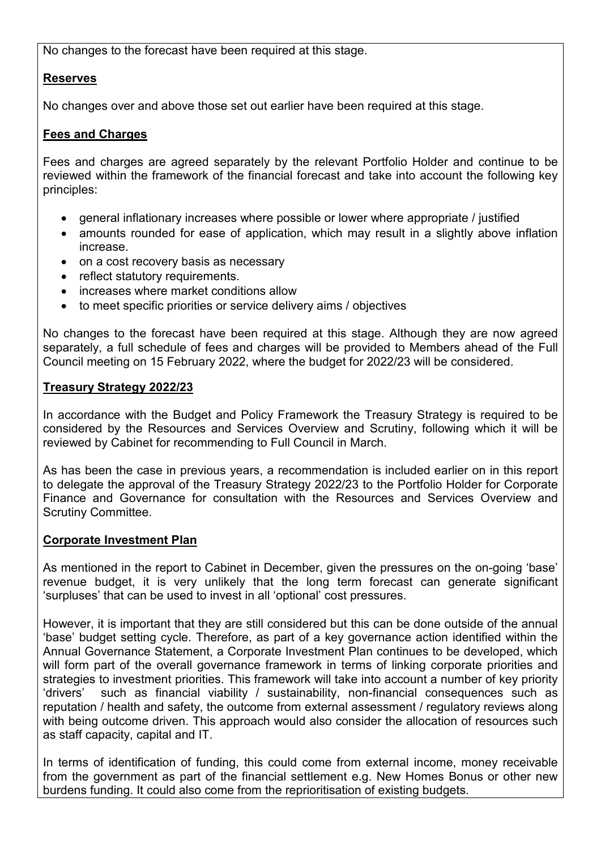No changes to the forecast have been required at this stage.

# **Reserves**

No changes over and above those set out earlier have been required at this stage.

## **Fees and Charges**

Fees and charges are agreed separately by the relevant Portfolio Holder and continue to be reviewed within the framework of the financial forecast and take into account the following key principles:

- general inflationary increases where possible or lower where appropriate / justified
- amounts rounded for ease of application, which may result in a slightly above inflation increase.
- on a cost recovery basis as necessary
- reflect statutory requirements.
- increases where market conditions allow
- to meet specific priorities or service delivery aims / objectives

No changes to the forecast have been required at this stage. Although they are now agreed separately, a full schedule of fees and charges will be provided to Members ahead of the Full Council meeting on 15 February 2022, where the budget for 2022/23 will be considered.

## **Treasury Strategy 2022/23**

In accordance with the Budget and Policy Framework the Treasury Strategy is required to be considered by the Resources and Services Overview and Scrutiny, following which it will be reviewed by Cabinet for recommending to Full Council in March.

As has been the case in previous years, a recommendation is included earlier on in this report to delegate the approval of the Treasury Strategy 2022/23 to the Portfolio Holder for Corporate Finance and Governance for consultation with the Resources and Services Overview and Scrutiny Committee.

### **Corporate Investment Plan**

As mentioned in the report to Cabinet in December, given the pressures on the on-going 'base' revenue budget, it is very unlikely that the long term forecast can generate significant 'surpluses' that can be used to invest in all 'optional' cost pressures.

However, it is important that they are still considered but this can be done outside of the annual 'base' budget setting cycle. Therefore, as part of a key governance action identified within the Annual Governance Statement, a Corporate Investment Plan continues to be developed, which will form part of the overall governance framework in terms of linking corporate priorities and strategies to investment priorities. This framework will take into account a number of key priority 'drivers' such as financial viability / sustainability, non-financial consequences such as reputation / health and safety, the outcome from external assessment / regulatory reviews along with being outcome driven. This approach would also consider the allocation of resources such as staff capacity, capital and IT.

In terms of identification of funding, this could come from external income, money receivable from the government as part of the financial settlement e.g. New Homes Bonus or other new burdens funding. It could also come from the reprioritisation of existing budgets.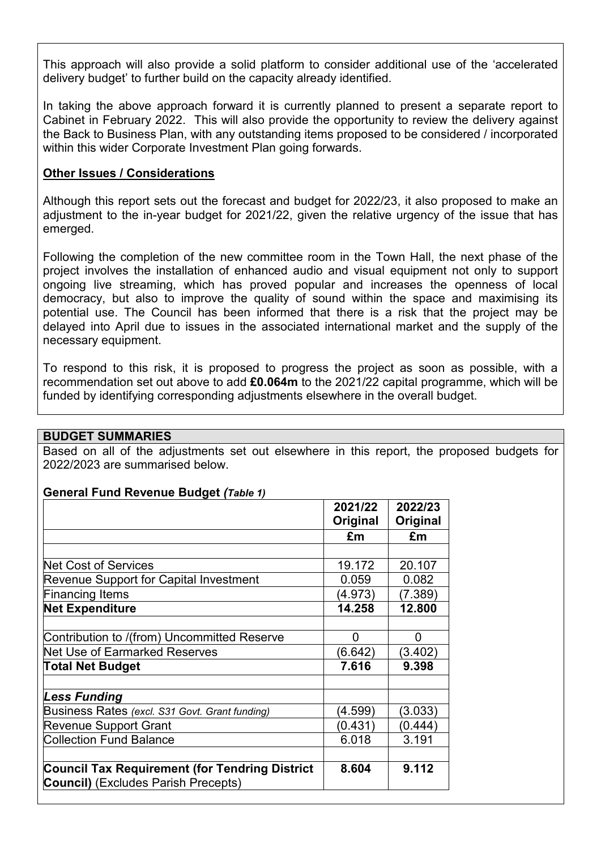This approach will also provide a solid platform to consider additional use of the 'accelerated delivery budget' to further build on the capacity already identified.

In taking the above approach forward it is currently planned to present a separate report to Cabinet in February 2022. This will also provide the opportunity to review the delivery against the Back to Business Plan, with any outstanding items proposed to be considered / incorporated within this wider Corporate Investment Plan going forwards.

## **Other Issues / Considerations**

Although this report sets out the forecast and budget for 2022/23, it also proposed to make an adjustment to the in-year budget for 2021/22, given the relative urgency of the issue that has emerged.

Following the completion of the new committee room in the Town Hall, the next phase of the project involves the installation of enhanced audio and visual equipment not only to support ongoing live streaming, which has proved popular and increases the openness of local democracy, but also to improve the quality of sound within the space and maximising its potential use. The Council has been informed that there is a risk that the project may be delayed into April due to issues in the associated international market and the supply of the necessary equipment.

To respond to this risk, it is proposed to progress the project as soon as possible, with a recommendation set out above to add **£0.064m** to the 2021/22 capital programme, which will be funded by identifying corresponding adjustments elsewhere in the overall budget.

### **BUDGET SUMMARIES**

Based on all of the adjustments set out elsewhere in this report, the proposed budgets for 2022/2023 are summarised below.

### **General Fund Revenue Budget** *(Table 1)*

|                                                       | 2021/22  | 2022/23  |
|-------------------------------------------------------|----------|----------|
|                                                       | Original | Original |
|                                                       | £m       | £m       |
|                                                       |          |          |
| <b>Net Cost of Services</b>                           | 19.172   | 20.107   |
| Revenue Support for Capital Investment                | 0.059    | 0.082    |
| <b>Financing Items</b>                                | (4.973)  | (7.389)  |
| <b>Net Expenditure</b>                                | 14.258   | 12.800   |
|                                                       |          |          |
| Contribution to /(from) Uncommitted Reserve           | 0        | 0        |
| Net Use of Earmarked Reserves                         | (6.642)  | (3.402)  |
| <b>Total Net Budget</b>                               | 7.616    | 9.398    |
|                                                       |          |          |
| <b>Less Funding</b>                                   |          |          |
| Business Rates (excl. S31 Govt. Grant funding)        | (4.599)  | (3.033)  |
| <b>Revenue Support Grant</b>                          | (0.431)  | (0.444)  |
| <b>Collection Fund Balance</b>                        | 6.018    | 3.191    |
|                                                       |          |          |
| <b>Council Tax Requirement (for Tendring District</b> | 8.604    | 9.112    |
| <b>Council)</b> (Excludes Parish Precepts)            |          |          |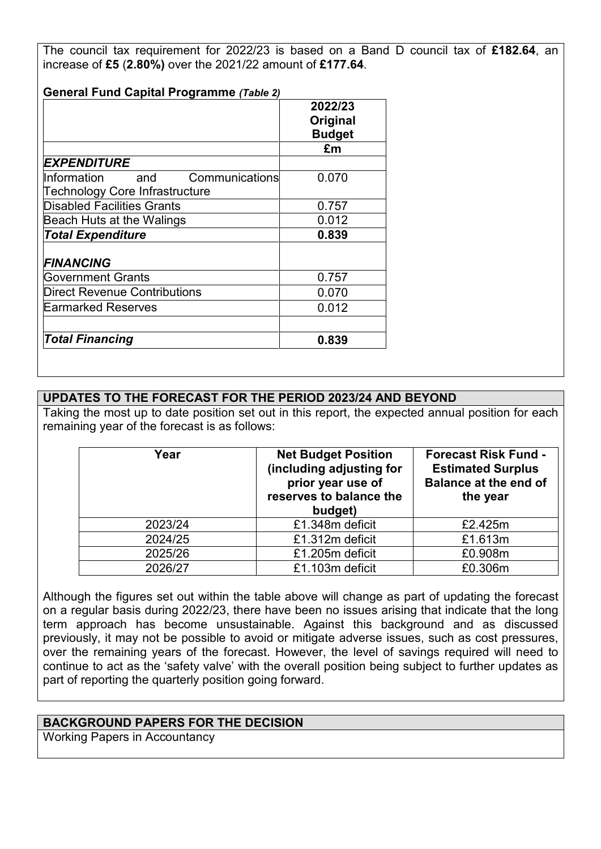The council tax requirement for 2022/23 is based on a Band D council tax of **£182.64**, an increase of **£5** (**2.80%)** over the 2021/22 amount of **£177.64**.

| <b>General Fund Capital Programme (Table 2)</b> | 2022/23       |
|-------------------------------------------------|---------------|
|                                                 | Original      |
|                                                 | <b>Budget</b> |
|                                                 |               |
|                                                 | £m            |
| <b>EXPENDITURE</b>                              |               |
| Communications<br>Information<br>and            | 0.070         |
| Technology Core Infrastructure                  |               |
| <b>Disabled Facilities Grants</b>               | 0.757         |
| Beach Huts at the Walings                       | 0.012         |
| <b>Total Expenditure</b>                        | 0.839         |
|                                                 |               |
| <b>FINANCING</b>                                |               |
| <b>Government Grants</b>                        | 0.757         |
| Direct Revenue Contributions                    | 0.070         |
| <b>Earmarked Reserves</b>                       | 0.012         |
|                                                 |               |
| <b>Total Financing</b>                          | 0.839         |

# **UPDATES TO THE FORECAST FOR THE PERIOD 2023/24 AND BEYOND**

Taking the most up to date position set out in this report, the expected annual position for each remaining year of the forecast is as follows:

| Year    | <b>Net Budget Position</b><br>(including adjusting for<br>prior year use of<br>reserves to balance the<br>budget) | <b>Forecast Risk Fund -</b><br><b>Estimated Surplus</b><br><b>Balance at the end of</b><br>the year |
|---------|-------------------------------------------------------------------------------------------------------------------|-----------------------------------------------------------------------------------------------------|
| 2023/24 | £1.348m deficit                                                                                                   | £2.425m                                                                                             |
| 2024/25 | £1.312m deficit                                                                                                   | £1.613m                                                                                             |
| 2025/26 | £1.205m deficit                                                                                                   | £0.908m                                                                                             |
| 2026/27 | £1.103m deficit                                                                                                   | £0.306m                                                                                             |

Although the figures set out within the table above will change as part of updating the forecast on a regular basis during 2022/23, there have been no issues arising that indicate that the long term approach has become unsustainable. Against this background and as discussed previously, it may not be possible to avoid or mitigate adverse issues, such as cost pressures, over the remaining years of the forecast. However, the level of savings required will need to continue to act as the 'safety valve' with the overall position being subject to further updates as part of reporting the quarterly position going forward.

### **BACKGROUND PAPERS FOR THE DECISION**

Working Papers in Accountancy